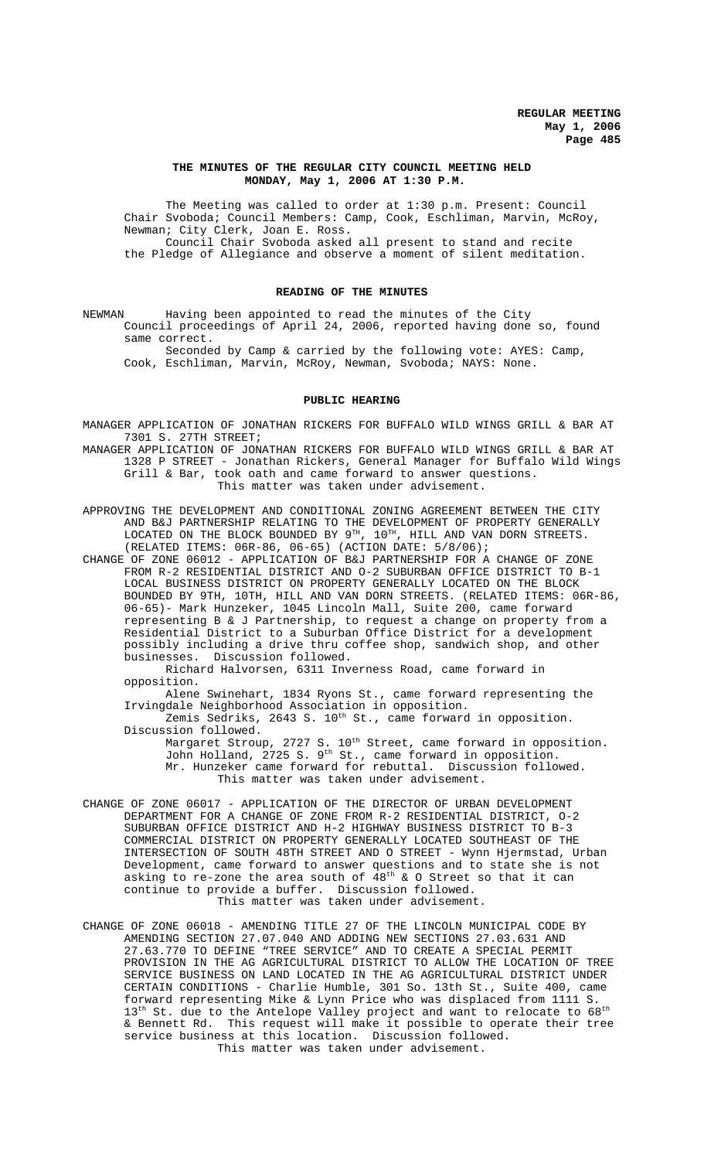#### **THE MINUTES OF THE REGULAR CITY COUNCIL MEETING HELD MONDAY, May 1, 2006 AT 1:30 P.M.**

The Meeting was called to order at 1:30 p.m. Present: Council Chair Svoboda; Council Members: Camp, Cook, Eschliman, Marvin, McRoy, Newman; City Clerk, Joan E. Ross. Council Chair Svoboda asked all present to stand and recite the Pledge of Allegiance and observe a moment of silent meditation.

## **READING OF THE MINUTES**

NEWMAN Having been appointed to read the minutes of the City Council proceedings of April 24, 2006, reported having done so, found same correct.

Seconded by Camp & carried by the following vote: AYES: Camp, Cook, Eschliman, Marvin, McRoy, Newman, Svoboda; NAYS: None.

#### **PUBLIC HEARING**

MANAGER APPLICATION OF JONATHAN RICKERS FOR BUFFALO WILD WINGS GRILL & BAR AT 7301 S. 27TH STREET;

MANAGER APPLICATION OF JONATHAN RICKERS FOR BUFFALO WILD WINGS GRILL & BAR AT 1328 P STREET - Jonathan Rickers, General Manager for Buffalo Wild Wings Grill & Bar, took oath and came forward to answer questions. This matter was taken under advisement.

APPROVING THE DEVELOPMENT AND CONDITIONAL ZONING AGREEMENT BETWEEN THE CITY AND B&J PARTNERSHIP RELATING TO THE DEVELOPMENT OF PROPERTY GENERALLY LOCATED ON THE BLOCK BOUNDED BY  $9^{TH}$ ,  $10^{TH}$ , HILL AND VAN DORN STREETS. (RELATED ITEMS: 06R-86, 06-65) (ACTION DATE: 5/8/06);

CHANGE OF ZONE 06012 - APPLICATION OF B&J PARTNERSHIP FOR A CHANGE OF ZONE FROM R-2 RESIDENTIAL DISTRICT AND O-2 SUBURBAN OFFICE DISTRICT TO B-1 LOCAL BUSINESS DISTRICT ON PROPERTY GENERALLY LOCATED ON THE BLOCK BOUNDED BY 9TH, 10TH, HILL AND VAN DORN STREETS. (RELATED ITEMS: 06R-86, 06-65)- Mark Hunzeker, 1045 Lincoln Mall, Suite 200, came forward representing B & J Partnership, to request a change on property from a Residential District to a Suburban Office District for a development possibly including a drive thru coffee shop, sandwich shop, and other businesses. Discussion followed.

Richard Halvorsen, 6311 Inverness Road, came forward in opposition.

Alene Swinehart, 1834 Ryons St., came forward representing the Irvingdale Neighborhood Association in opposition.

Zemis Sedriks, 2643 S. 10<sup>th</sup> St., came forward in opposition. Discussion followed.

Margaret Stroup, 2727 S.  $10^{\text{th}}$  Street, came forward in opposition. John Holland, 2725 S. 9th St., came forward in opposition. Mr. Hunzeker came forward for rebuttal. Discussion followed. This matter was taken under advisement.

- CHANGE OF ZONE 06017 APPLICATION OF THE DIRECTOR OF URBAN DEVELOPMENT DEPARTMENT FOR A CHANGE OF ZONE FROM R-2 RESIDENTIAL DISTRICT, O-2 SUBURBAN OFFICE DISTRICT AND H-2 HIGHWAY BUSINESS DISTRICT TO B-3 COMMERCIAL DISTRICT ON PROPERTY GENERALLY LOCATED SOUTHEAST OF THE INTERSECTION OF SOUTH 48TH STREET AND O STREET - Wynn Hjermstad, Urban Development, came forward to answer questions and to state she is not asking to re-zone the area south of  $48^{\text{th}}$  & O Street so that it can continue to provide a buffer. Discussion followed. This matter was taken under advisement.
- CHANGE OF ZONE 06018 AMENDING TITLE 27 OF THE LINCOLN MUNICIPAL CODE BY AMENDING SECTION 27.07.040 AND ADDING NEW SECTIONS 27.03.631 AND 27.63.770 TO DEFINE "TREE SERVICE" AND TO CREATE A SPECIAL PERMIT PROVISION IN THE AG AGRICULTURAL DISTRICT TO ALLOW THE LOCATION OF TREE SERVICE BUSINESS ON LAND LOCATED IN THE AG AGRICULTURAL DISTRICT UNDER CERTAIN CONDITIONS - Charlie Humble, 301 So. 13th St., Suite 400, came forward representing Mike & Lynn Price who was displaced from 1111 S. 13<sup>th</sup> St. due to the Antelope Valley project and want to relocate to 68<sup>th</sup> & Bennett Rd. This request will make it possible to operate their tree service business at this location. Discussion followed. This matter was taken under advisement.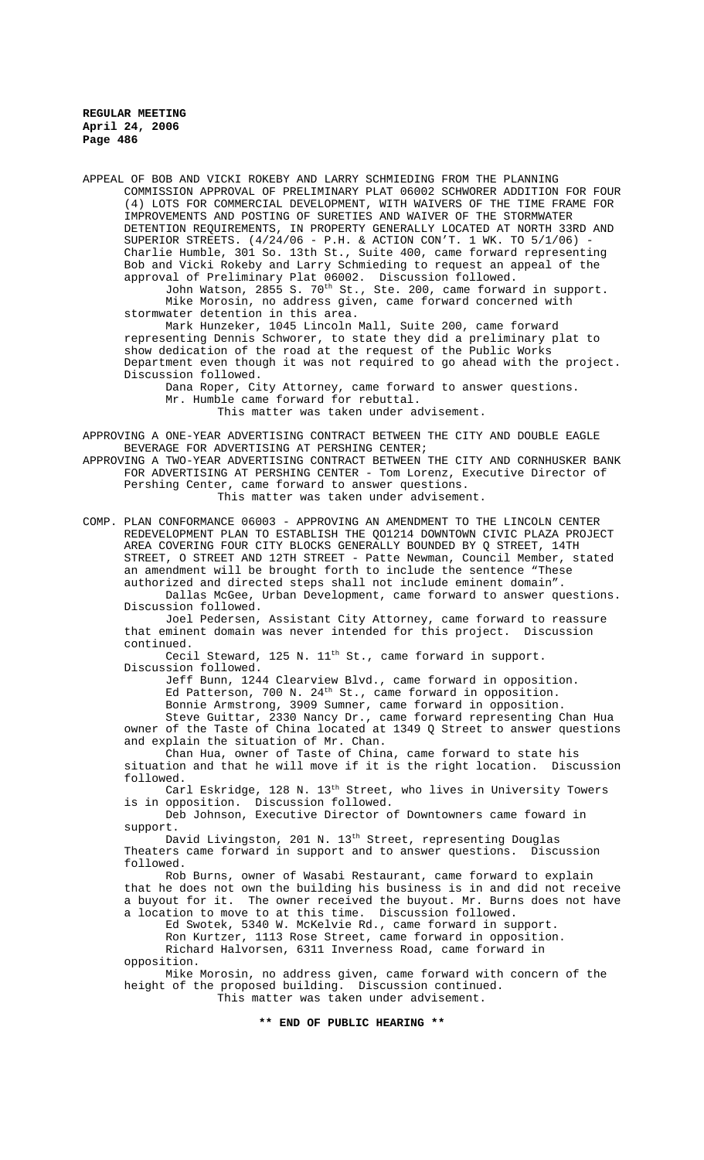APPEAL OF BOB AND VICKI ROKEBY AND LARRY SCHMIEDING FROM THE PLANNING COMMISSION APPROVAL OF PRELIMINARY PLAT 06002 SCHWORER ADDITION FOR FOUR (4) LOTS FOR COMMERCIAL DEVELOPMENT, WITH WAIVERS OF THE TIME FRAME FOR IMPROVEMENTS AND POSTING OF SURETIES AND WAIVER OF THE STORMWATER DETENTION REQUIREMENTS, IN PROPERTY GENERALLY LOCATED AT NORTH 33RD AND SUPERIOR STREETS. (4/24/06 - P.H. & ACTION CON'T. 1 WK. TO 5/1/06) - Charlie Humble, 301 So. 13th St., Suite 400, came forward representing Bob and Vicki Rokeby and Larry Schmieding to request an appeal of the approval of Preliminary Plat 06002. Discussion followed. John Watson, 2855 S.  $70^{\text{th}}$  St., Ste. 200, came forward in  ${\rm support.}$ Mike Morosin, no address given, came forward concerned with stormwater detention in this area. Mark Hunzeker, 1045 Lincoln Mall, Suite 200, came forward representing Dennis Schworer, to state they did a preliminary plat to show dedication of the road at the request of the Public Works Department even though it was not required to go ahead with the project. Discussion followed. Dana Roper, City Attorney, came forward to answer questions. Mr. Humble came forward for rebuttal. This matter was taken under advisement. APPROVING A ONE-YEAR ADVERTISING CONTRACT BETWEEN THE CITY AND DOUBLE EAGLE BEVERAGE FOR ADVERTISING AT PERSHING CENTER; APPROVING A TWO-YEAR ADVERTISING CONTRACT BETWEEN THE CITY AND CORNHUSKER BANK FOR ADVERTISING AT PERSHING CENTER - Tom Lorenz, Executive Director of Pershing Center, came forward to answer questions. This matter was taken under advisement.

COMP. PLAN CONFORMANCE 06003 - APPROVING AN AMENDMENT TO THE LINCOLN CENTER REDEVELOPMENT PLAN TO ESTABLISH THE QO1214 DOWNTOWN CIVIC PLAZA PROJECT AREA COVERING FOUR CITY BLOCKS GENERALLY BOUNDED BY Q STREET, 14TH STREET, O STREET AND 12TH STREET - Patte Newman, Council Member, stated an amendment will be brought forth to include the sentence "These authorized and directed steps shall not include eminent domain".

Dallas McGee, Urban Development, came forward to answer questions. Discussion followed.

Joel Pedersen, Assistant City Attorney, came forward to reassure that eminent domain was never intended for this project. Discussion continued.

Cecil Steward, 125 N. 11<sup>th</sup> St., came forward in support. Discussion followed.

Jeff Bunn, 1244 Clearview Blvd., came forward in opposition. Ed Patterson, 700 N. 24<sup>th</sup> St., came forward in opposition. Bonnie Armstrong, 3909 Sumner, came forward in opposition.

Steve Guittar, 2330 Nancy Dr., came forward representing Chan Hua owner of the Taste of China located at 1349 Q Street to answer questions and explain the situation of Mr. Chan.

Chan Hua, owner of Taste of China, came forward to state his situation and that he will move if it is the right location. Discussion followed.

Carl Eskridge, 128 N. 13th Street, who lives in University Towers is in opposition. Discussion followed.

Deb Johnson, Executive Director of Downtowners came foward in support.

David Livingston, 201 N. 13<sup>th</sup> Street, representing Douglas Theaters came forward in support and to answer questions. Discussion followed.

Rob Burns, owner of Wasabi Restaurant, came forward to explain that he does not own the building his business is in and did not receive a buyout for it. The owner received the buyout. Mr. Burns does not have a location to move to at this time. Discussion followed.

Ed Swotek, 5340 W. McKelvie Rd., came forward in support. Ron Kurtzer, 1113 Rose Street, came forward in opposition.

Richard Halvorsen, 6311 Inverness Road, came forward in opposition.

Mike Morosin, no address given, came forward with concern of the height of the proposed building. Discussion continued. This matter was taken under advisement.

**\*\* END OF PUBLIC HEARING \*\***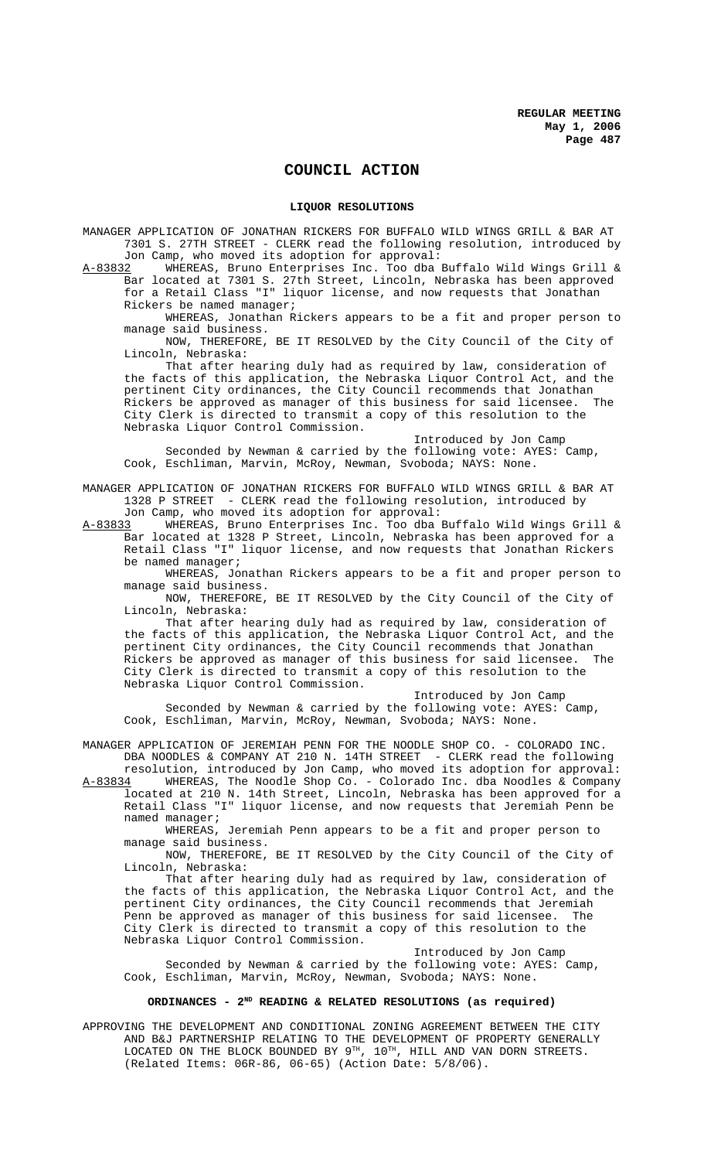## **COUNCIL ACTION**

#### **LIQUOR RESOLUTIONS**

MANAGER APPLICATION OF JONATHAN RICKERS FOR BUFFALO WILD WINGS GRILL & BAR AT 7301 S. 27TH STREET - CLERK read the following resolution, introduced by

Jon Camp, who moved its adoption for approval:<br>A-83832 WHEREAS, Bruno Enterprises Inc. Too dba WHEREAS, Bruno Enterprises Inc. Too dba Buffalo Wild Wings Grill & Bar located at 7301 S. 27th Street, Lincoln, Nebraska has been approved for a Retail Class "I" liquor license, and now requests that Jonathan Rickers be named manager;

WHEREAS, Jonathan Rickers appears to be a fit and proper person to manage said business.

NOW, THEREFORE, BE IT RESOLVED by the City Council of the City of Lincoln, Nebraska:

That after hearing duly had as required by law, consideration of the facts of this application, the Nebraska Liquor Control Act, and the pertinent City ordinances, the City Council recommends that Jonathan<br>Rickers be approved as manager of this business for said licensee. The Rickers be approved as manager of this business for said licensee. The City Clerk is directed to transmit a copy of this resolution to the Nebraska Liquor Control Commission.

Introduced by Jon Camp Seconded by Newman & carried by the following vote: AYES: Camp, Cook, Eschliman, Marvin, McRoy, Newman, Svoboda; NAYS: None.

MANAGER APPLICATION OF JONATHAN RICKERS FOR BUFFALO WILD WINGS GRILL & BAR AT 1328 P STREET - CLERK read the following resolution, introduced by Jon Camp, who moved its adoption for approval:

A-83833 WHEREAS, Bruno Enterprises Inc. Too dba Buffalo Wild Wings Grill & Bar located at 1328 P Street, Lincoln, Nebraska has been approved for a Retail Class "I" liquor license, and now requests that Jonathan Rickers be named manager;

WHEREAS, Jonathan Rickers appears to be a fit and proper person to manage said business.

NOW, THEREFORE, BE IT RESOLVED by the City Council of the City of Lincoln, Nebraska:

That after hearing duly had as required by law, consideration of the facts of this application, the Nebraska Liquor Control Act, and the pertinent City ordinances, the City Council recommends that Jonathan Rickers be approved as manager of this business for said licensee. The City Clerk is directed to transmit a copy of this resolution to the Nebraska Liquor Control Commission.

Introduced by Jon Camp Seconded by Newman & carried by the following vote: AYES: Camp, Cook, Eschliman, Marvin, McRoy, Newman, Svoboda; NAYS: None.

MANAGER APPLICATION OF JEREMIAH PENN FOR THE NOODLE SHOP CO. - COLORADO INC. DBA NOODLES & COMPANY AT 210 N. 14TH STREET - CLERK read the following

resolution, introduced by Jon Camp, who moved its adoption for approval: A-83834 WHEREAS, The Noodle Shop Co. - Colorado Inc. dba Noodles & Company located at 210 N. 14th Street, Lincoln, Nebraska has been approved for a Retail Class "I" liquor license, and now requests that Jeremiah Penn be named manager;

WHEREAS, Jeremiah Penn appears to be a fit and proper person to manage said business.

NOW, THEREFORE, BE IT RESOLVED by the City Council of the City of Lincoln, Nebraska:

That after hearing duly had as required by law, consideration of the facts of this application, the Nebraska Liquor Control Act, and the pertinent City ordinances, the City Council recommends that Jeremiah<br>Penn be approved as manager of this business for said licensee. The Penn be approved as manager of this business for said licensee. City Clerk is directed to transmit a copy of this resolution to the Nebraska Liquor Control Commission.

Introduced by Jon Camp

Seconded by Newman & carried by the following vote: AYES: Camp, Cook, Eschliman, Marvin, McRoy, Newman, Svoboda; NAYS: None.

#### **ORDINANCES - 2ND READING & RELATED RESOLUTIONS (as required)**

APPROVING THE DEVELOPMENT AND CONDITIONAL ZONING AGREEMENT BETWEEN THE CITY AND B&J PARTNERSHIP RELATING TO THE DEVELOPMENT OF PROPERTY GENERALLY LOCATED ON THE BLOCK BOUNDED BY  $9^{\text{\tiny{TH}}}$ ,  $10^{\text{\tiny{TH}}}$ , HILL AND VAN DORN STREETS. (Related Items: 06R-86, 06-65) (Action Date: 5/8/06).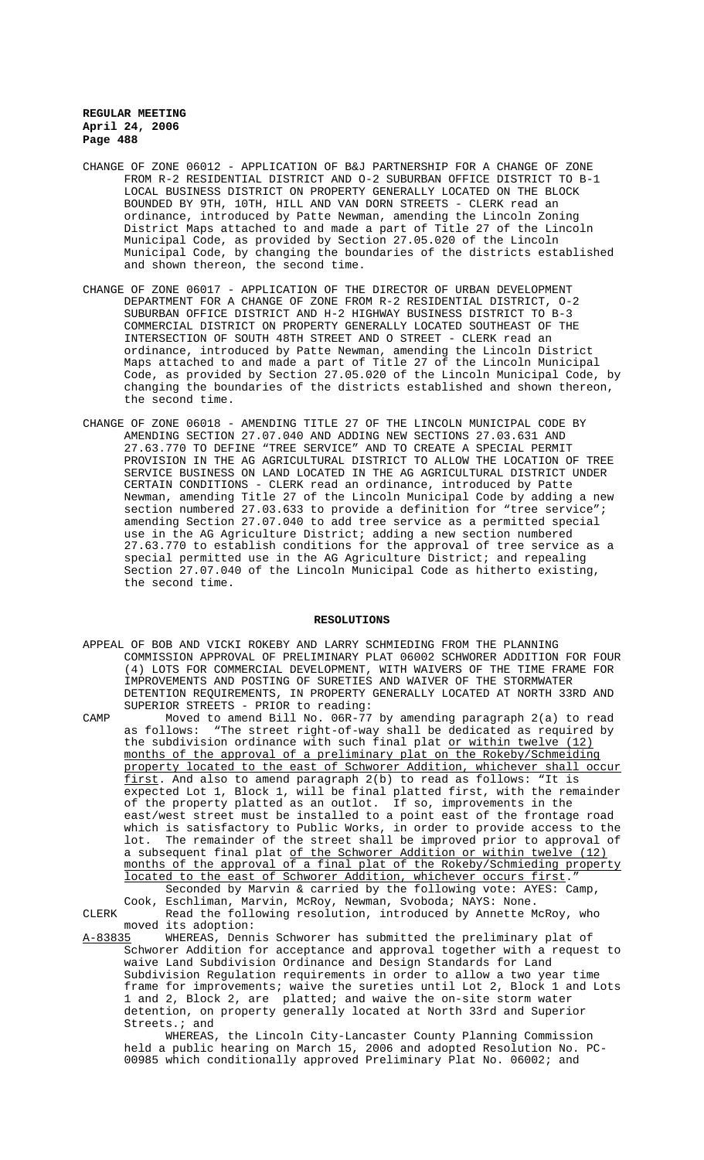- CHANGE OF ZONE 06012 APPLICATION OF B&J PARTNERSHIP FOR A CHANGE OF ZONE FROM R-2 RESIDENTIAL DISTRICT AND O-2 SUBURBAN OFFICE DISTRICT TO B-1 LOCAL BUSINESS DISTRICT ON PROPERTY GENERALLY LOCATED ON THE BLOCK BOUNDED BY 9TH, 10TH, HILL AND VAN DORN STREETS - CLERK read an ordinance, introduced by Patte Newman, amending the Lincoln Zoning District Maps attached to and made a part of Title 27 of the Lincoln Municipal Code, as provided by Section 27.05.020 of the Lincoln Municipal Code, by changing the boundaries of the districts established and shown thereon, the second time.
- CHANGE OF ZONE 06017 APPLICATION OF THE DIRECTOR OF URBAN DEVELOPMENT DEPARTMENT FOR A CHANGE OF ZONE FROM R-2 RESIDENTIAL DISTRICT, O-2 SUBURBAN OFFICE DISTRICT AND H-2 HIGHWAY BUSINESS DISTRICT TO B-3 COMMERCIAL DISTRICT ON PROPERTY GENERALLY LOCATED SOUTHEAST OF THE INTERSECTION OF SOUTH 48TH STREET AND O STREET - CLERK read an ordinance, introduced by Patte Newman, amending the Lincoln District Maps attached to and made a part of Title 27 of the Lincoln Municipal Code, as provided by Section 27.05.020 of the Lincoln Municipal Code, by changing the boundaries of the districts established and shown thereon, the second time.
- CHANGE OF ZONE 06018 AMENDING TITLE 27 OF THE LINCOLN MUNICIPAL CODE BY AMENDING SECTION 27.07.040 AND ADDING NEW SECTIONS 27.03.631 AND 27.63.770 TO DEFINE "TREE SERVICE" AND TO CREATE A SPECIAL PERMIT PROVISION IN THE AG AGRICULTURAL DISTRICT TO ALLOW THE LOCATION OF TREE SERVICE BUSINESS ON LAND LOCATED IN THE AG AGRICULTURAL DISTRICT UNDER CERTAIN CONDITIONS - CLERK read an ordinance, introduced by Patte Newman, amending Title 27 of the Lincoln Municipal Code by adding a new section numbered 27.03.633 to provide a definition for "tree service"; amending Section 27.07.040 to add tree service as a permitted special use in the AG Agriculture District; adding a new section numbered 27.63.770 to establish conditions for the approval of tree service as a special permitted use in the AG Agriculture District; and repealing Section 27.07.040 of the Lincoln Municipal Code as hitherto existing, the second time.

#### **RESOLUTIONS**

APPEAL OF BOB AND VICKI ROKEBY AND LARRY SCHMIEDING FROM THE PLANNING COMMISSION APPROVAL OF PRELIMINARY PLAT 06002 SCHWORER ADDITION FOR FOUR (4) LOTS FOR COMMERCIAL DEVELOPMENT, WITH WAIVERS OF THE TIME FRAME FOR IMPROVEMENTS AND POSTING OF SURETIES AND WAIVER OF THE STORMWATER DETENTION REQUIREMENTS, IN PROPERTY GENERALLY LOCATED AT NORTH 33RD AND SUPERIOR STREETS - PRIOR to reading:

CAMP Moved to amend Bill No. 06R-77 by amending paragraph 2(a) to read<br>as follows: "The street right-of-way shall be dedicated as required by "The street right-of-way shall be dedicated as required by the subdivision ordinance with such final plat or within twelve (12) months of the approval of a preliminary plat on the Rokeby/Schmeiding property located to the east of Schworer Addition, whichever shall occur first. And also to amend paragraph 2(b) to read as follows: "It is expected Lot 1, Block 1, will be final platted first, with the remainder of the property platted as an outlot. If so, improvements in the east/west street must be installed to a point east of the frontage road which is satisfactory to Public Works, in order to provide access to the lot. The remainder of the street shall be improved prior to approval of a subsequent final plat of the Schworer Addition or within twelve (12) months of the approval of a final plat of the Rokeby/Schmieding property located to the east of Schworer Addition, whichever occurs first." Seconded by Marvin & carried by the following vote: AYES: Cook, Eschliman, Marvin, McRoy, Newman, Svoboda; NAYS: None.

CLERK Read the following resolution, introduced by Annette McRoy, who moved its adoption:<br>A-83835 WHEREAS, Denn

WHEREAS, Dennis Schworer has submitted the preliminary plat of Schworer Addition for acceptance and approval together with a request to waive Land Subdivision Ordinance and Design Standards for Land Subdivision Regulation requirements in order to allow a two year time frame for improvements; waive the sureties until Lot 2, Block 1 and Lots 1 and 2, Block 2, are platted; and waive the on-site storm water detention, on property generally located at North 33rd and Superior Streets.; and

WHEREAS, the Lincoln City-Lancaster County Planning Commission held a public hearing on March 15, 2006 and adopted Resolution No. PC-00985 which conditionally approved Preliminary Plat No. 06002; and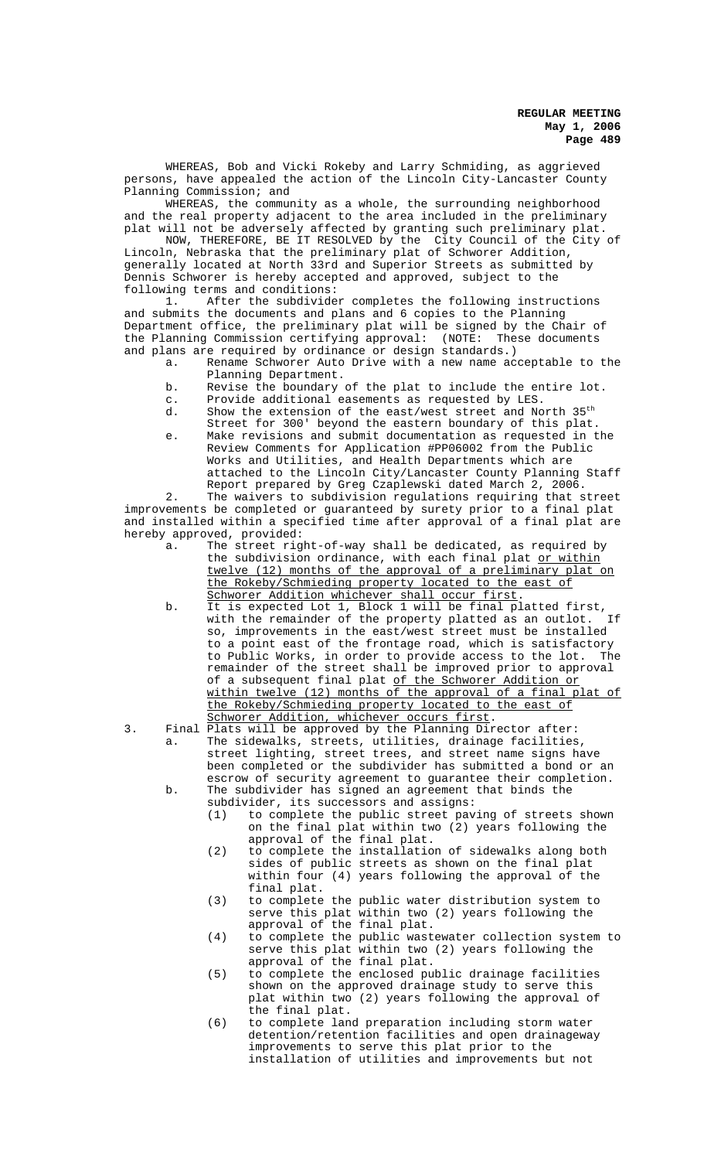WHEREAS, Bob and Vicki Rokeby and Larry Schmiding, as aggrieved persons, have appealed the action of the Lincoln City-Lancaster County Planning Commission; and

WHEREAS, the community as a whole, the surrounding neighborhood and the real property adjacent to the area included in the preliminary plat will not be adversely affected by granting such preliminary plat.

NOW, THEREFORE, BE IT RESOLVED by the City Council of the City of Lincoln, Nebraska that the preliminary plat of Schworer Addition, generally located at North 33rd and Superior Streets as submitted by Dennis Schworer is hereby accepted and approved, subject to the following terms and conditions:

1. After the subdivider completes the following instructions and submits the documents and plans and 6 copies to the Planning Department office, the preliminary plat will be signed by the Chair of the Planning Commission certifying approval: (NOTE: These documents and plans are required by ordinance or design standards.)

- a. Rename Schworer Auto Drive with a new name acceptable to the Planning Department.
- b. Revise the boundary of the plat to include the entire lot.
- c. Provide additional easements as requested by LES.
- d. Show the extension of the east/west street and North 35th Street for 300' beyond the eastern boundary of this plat.
- e. Make revisions and submit documentation as requested in the Review Comments for Application #PP06002 from the Public Works and Utilities, and Health Departments which are attached to the Lincoln City/Lancaster County Planning Staff Report prepared by Greg Czaplewski dated March 2, 2006.

2. The waivers to subdivision regulations requiring that street improvements be completed or guaranteed by surety prior to a final plat and installed within a specified time after approval of a final plat are hereby approved, provided:

- a. The street right-of-way shall be dedicated, as required by the subdivision ordinance, with each final plat or within twelve (12) months of the approval of a preliminary plat on the Rokeby/Schmieding property located to the east of Schworer Addition whichever shall occur first.
- b. It is expected Lot 1, Block 1 will be final platted first,<br>with the remainder of the property platted as an outlot. If with the remainder of the property platted as an outlot. so, improvements in the east/west street must be installed to a point east of the frontage road, which is satisfactory to Public Works, in order to provide access to the lot. The remainder of the street shall be improved prior to approval of a subsequent final plat of the Schworer Addition or within twelve (12) months of the approval of a final plat of the Rokeby/Schmieding property located to the east of Schworer Addition, whichever occurs first.
- 3. Final Plats will be approved by the Planning Director after:
	-
	- a. The sidewalks, streets, utilities, drainage facilities, street lighting, street trees, and street name signs have been completed or the subdivider has submitted a bond or an escrow of security agreement to guarantee their completion. b. The subdivider has signed an agreement that binds the subdivider, its successors and assigns:
		- (1) to complete the public street paving of streets shown on the final plat within two (2) years following the approval of the final plat.
		- (2) to complete the installation of sidewalks along both sides of public streets as shown on the final plat within four (4) years following the approval of the final plat.
		- (3) to complete the public water distribution system to serve this plat within two (2) years following the approval of the final plat.
		- (4) to complete the public wastewater collection system to serve this plat within two (2) years following the approval of the final plat.
		- (5) to complete the enclosed public drainage facilities shown on the approved drainage study to serve this plat within two (2) years following the approval of the final plat.
		- (6) to complete land preparation including storm water detention/retention facilities and open drainageway improvements to serve this plat prior to the installation of utilities and improvements but not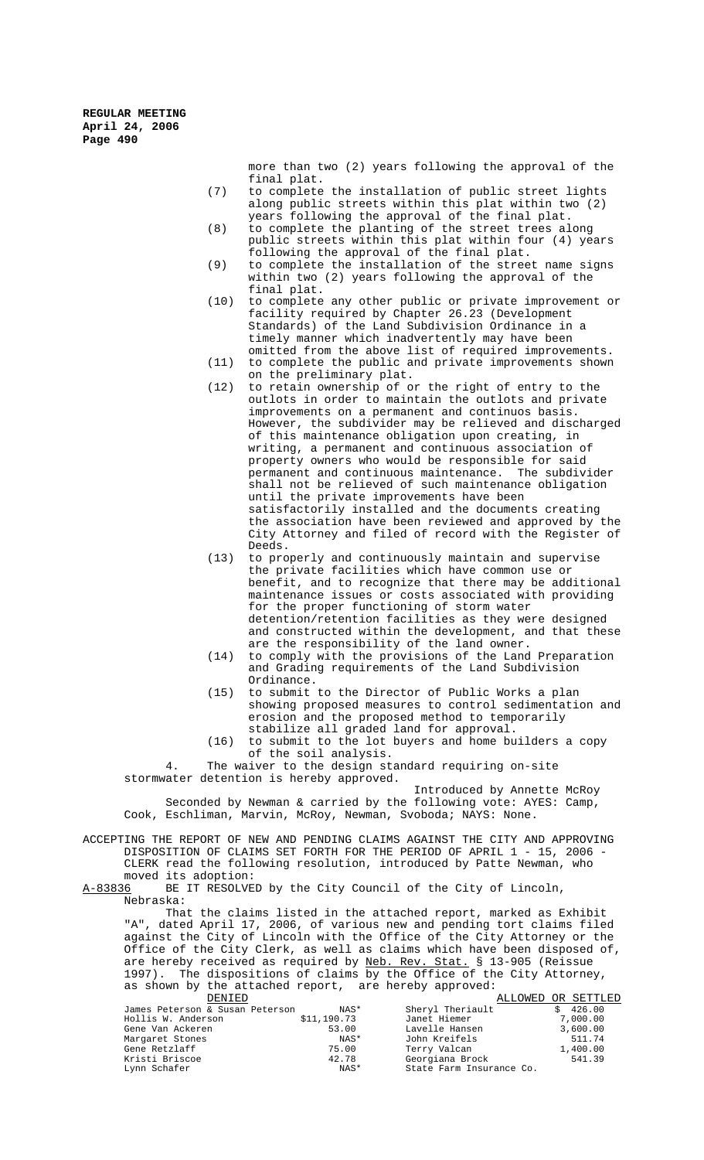> more than two (2) years following the approval of the final plat.

- (7) to complete the installation of public street lights along public streets within this plat within two (2) years following the approval of the final plat.
- (8) to complete the planting of the street trees along public streets within this plat within four (4) years following the approval of the final plat.
- (9) to complete the installation of the street name signs within two (2) years following the approval of the final plat.
- (10) to complete any other public or private improvement or facility required by Chapter 26.23 (Development Standards) of the Land Subdivision Ordinance in a timely manner which inadvertently may have been omitted from the above list of required improvements.
- (11) to complete the public and private improvements shown on the preliminary plat.
- (12) to retain ownership of or the right of entry to the outlots in order to maintain the outlots and private improvements on a permanent and continuos basis. However, the subdivider may be relieved and discharged of this maintenance obligation upon creating, in writing, a permanent and continuous association of property owners who would be responsible for said permanent and continuous maintenance. The subdivider shall not be relieved of such maintenance obligation until the private improvements have been satisfactorily installed and the documents creating the association have been reviewed and approved by the City Attorney and filed of record with the Register of Deeds.
- (13) to properly and continuously maintain and supervise the private facilities which have common use or benefit, and to recognize that there may be additional maintenance issues or costs associated with providing for the proper functioning of storm water detention/retention facilities as they were designed and constructed within the development, and that these are the responsibility of the land owner.
- (14) to comply with the provisions of the Land Preparation and Grading requirements of the Land Subdivision Ordinance.
- (15) to submit to the Director of Public Works a plan showing proposed measures to control sedimentation and erosion and the proposed method to temporarily stabilize all graded land for approval.
- (16) to submit to the lot buyers and home builders a copy of the soil analysis.

4. The waiver to the design standard requiring on-site stormwater detention is hereby approved.

Introduced by Annette McRoy Seconded by Newman & carried by the following vote: AYES: Camp, Cook, Eschliman, Marvin, McRoy, Newman, Svoboda; NAYS: None.

ACCEPTING THE REPORT OF NEW AND PENDING CLAIMS AGAINST THE CITY AND APPROVING DISPOSITION OF CLAIMS SET FORTH FOR THE PERIOD OF APRIL 1 - 15, 2006 - CLERK read the following resolution, introduced by Patte Newman, who

moved its adoption:<br>A-83836 BE IT RESOLVE BE IT RESOLVED by the City Council of the City of Lincoln, Nebraska:

That the claims listed in the attached report, marked as Exhibit "A", dated April 17, 2006, of various new and pending tort claims filed against the City of Lincoln with the Office of the City Attorney or the Office of the City Clerk, as well as claims which have been disposed of, are hereby received as required by Neb. Rev. Stat. § 13-905 (Reissue 1997). The dispositions of claims by the Office of the City Attorney, as shown by the attached report, are hereby approved:

| DENIED                          |             |                          | ALLOWED OR SETTLED |
|---------------------------------|-------------|--------------------------|--------------------|
| James Peterson & Susan Peterson | NAS*        | Sheryl Theriault         | \$426.00           |
| Hollis W. Anderson              | \$11,190.73 | Janet Hiemer             | 7,000.00           |
| Gene Van Ackeren                | 53.00       | Lavelle Hansen           | 3,600.00           |
| Margaret Stones                 | NAS*        | John Kreifels            | 511.74             |
| Gene Retzlaff                   | 75.00       | Terry Valcan             | 1,400.00           |
| Kristi Briscoe                  | 42.78       | Georgiana Brock          | 541.39             |
| Lynn Schafer                    | NAS*        | State Farm Insurance Co. |                    |
|                                 |             |                          |                    |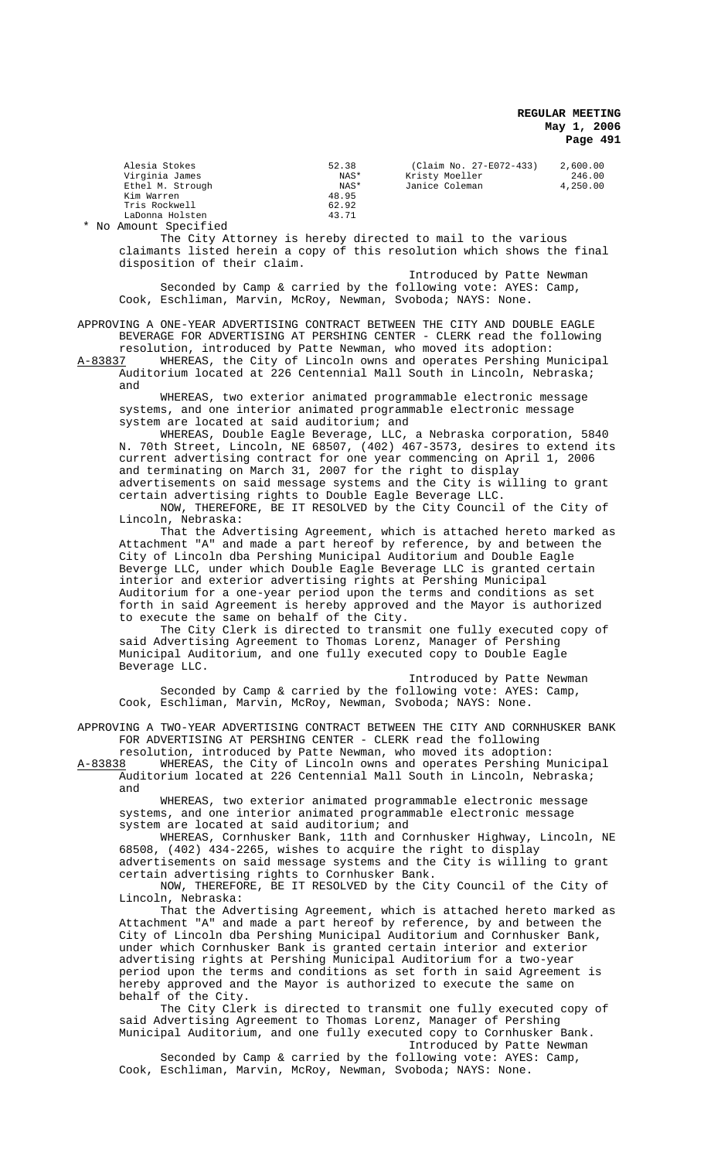| Alesia Stokes    | 52.38 | (Claim No. 27-E072-433) | 2,600.00 |
|------------------|-------|-------------------------|----------|
| Virginia James   | NAS*  | Kristy Moeller          | 246.00   |
| Ethel M. Strough | NAS*  | Janice Coleman          | 4,250.00 |
| Kim Warren       | 48.95 |                         |          |
| Tris Rockwell    | 62.92 |                         |          |
| LaDonna Holsten  | 43.71 |                         |          |
|                  |       |                         |          |

\* No Amount Specified

The City Attorney is hereby directed to mail to the various claimants listed herein a copy of this resolution which shows the final disposition of their claim.

Introduced by Patte Newman Seconded by Camp & carried by the following vote: AYES: Camp, Cook, Eschliman, Marvin, McRoy, Newman, Svoboda; NAYS: None.

APPROVING A ONE-YEAR ADVERTISING CONTRACT BETWEEN THE CITY AND DOUBLE EAGLE BEVERAGE FOR ADVERTISING AT PERSHING CENTER - CLERK read the following resolution, introduced by Patte Newman, who moved its adoption:

A-83837 WHEREAS, the City of Lincoln owns and operates Pershing Municipal Auditorium located at 226 Centennial Mall South in Lincoln, Nebraska; and

WHEREAS, two exterior animated programmable electronic message systems, and one interior animated programmable electronic message system are located at said auditorium; and

WHEREAS, Double Eagle Beverage, LLC, a Nebraska corporation, 5840 N. 70th Street, Lincoln, NE 68507, (402) 467-3573, desires to extend its current advertising contract for one year commencing on April 1, 2006 and terminating on March 31, 2007 for the right to display advertisements on said message systems and the City is willing to grant certain advertising rights to Double Eagle Beverage LLC.

NOW, THEREFORE, BE IT RESOLVED by the City Council of the City of Lincoln, Nebraska:

That the Advertising Agreement, which is attached hereto marked as Attachment "A" and made a part hereof by reference, by and between the City of Lincoln dba Pershing Municipal Auditorium and Double Eagle Beverge LLC, under which Double Eagle Beverage LLC is granted certain interior and exterior advertising rights at Pershing Municipal Auditorium for a one-year period upon the terms and conditions as set forth in said Agreement is hereby approved and the Mayor is authorized to execute the same on behalf of the City.

The City Clerk is directed to transmit one fully executed copy of said Advertising Agreement to Thomas Lorenz, Manager of Pershing Municipal Auditorium, and one fully executed copy to Double Eagle Beverage LLC.

Introduced by Patte Newman Seconded by Camp & carried by the following vote: AYES: Camp, Cook, Eschliman, Marvin, McRoy, Newman, Svoboda; NAYS: None.

APPROVING A TWO-YEAR ADVERTISING CONTRACT BETWEEN THE CITY AND CORNHUSKER BANK FOR ADVERTISING AT PERSHING CENTER - CLERK read the following

resolution, introduced by Patte Newman, who moved its adoption:<br>A-83838 MHEREAS, the City of Lincoln owns and operates Pershing M WHEREAS, the City of Lincoln owns and operates Pershing Municipal Auditorium located at 226 Centennial Mall South in Lincoln, Nebraska; and

WHEREAS, two exterior animated programmable electronic message systems, and one interior animated programmable electronic message system are located at said auditorium; and

WHEREAS, Cornhusker Bank, 11th and Cornhusker Highway, Lincoln, NE 68508, (402) 434-2265, wishes to acquire the right to display advertisements on said message systems and the City is willing to grant certain advertising rights to Cornhusker Bank.

NOW, THEREFORE, BE IT RESOLVED by the City Council of the City of Lincoln, Nebraska:

That the Advertising Agreement, which is attached hereto marked as Attachment "A" and made a part hereof by reference, by and between the City of Lincoln dba Pershing Municipal Auditorium and Cornhusker Bank, under which Cornhusker Bank is granted certain interior and exterior advertising rights at Pershing Municipal Auditorium for a two-year period upon the terms and conditions as set forth in said Agreement is hereby approved and the Mayor is authorized to execute the same on behalf of the City.

The City Clerk is directed to transmit one fully executed copy of said Advertising Agreement to Thomas Lorenz, Manager of Pershing Municipal Auditorium, and one fully executed copy to Cornhusker Bank.

Introduced by Patte Newman Seconded by Camp & carried by the following vote: AYES: Camp, Cook, Eschliman, Marvin, McRoy, Newman, Svoboda; NAYS: None.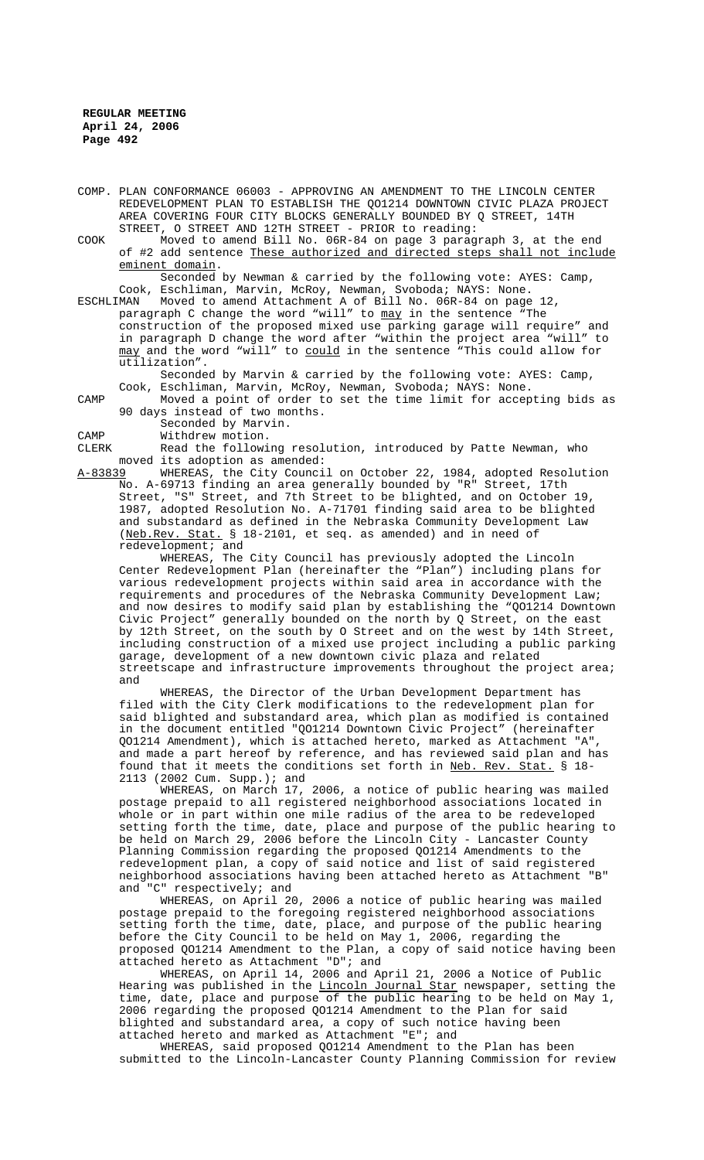COMP. PLAN CONFORMANCE 06003 - APPROVING AN AMENDMENT TO THE LINCOLN CENTER REDEVELOPMENT PLAN TO ESTABLISH THE QO1214 DOWNTOWN CIVIC PLAZA PROJECT AREA COVERING FOUR CITY BLOCKS GENERALLY BOUNDED BY Q STREET, 14TH STREET, O STREET AND 12TH STREET - PRIOR to reading:

COOK Moved to amend Bill No. 06R-84 on page 3 paragraph 3, at the end of #2 add sentence These authorized and directed steps shall not include eminent domain.

Seconded by Newman & carried by the following vote: AYES: Camp, Cook, Eschliman, Marvin, McRoy, Newman, Svoboda; NAYS: None.

ESCHLIMAN Moved to amend Attachment A of Bill No. 06R-84 on page 12, paragraph C change the word "will" to may in the sentence "The construction of the proposed mixed use parking garage will require" and in paragraph D change the word after "within the project area "will" to may and the word "will" to could in the sentence "This could allow for utilization".

Seconded by Marvin & carried by the following vote: AYES: Camp, Cook, Eschliman, Marvin, McRoy, Newman, Svoboda; NAYS: None.

CAMP Moved a point of order to set the time limit for accepting bids as 90 days instead of two months.

Seconded by Marvin.

CAMP Withdrew motion.<br>CLERK Read the followi

Read the following resolution, introduced by Patte Newman, who moved its adoption as amended:<br>A-83839 WHEREAS, the City Counci

A-83839 WHEREAS, the City Council on October 22, 1984, adopted Resolution No. A-69713 finding an area generally bounded by "R" Street, 17th Street, "S" Street, and 7th Street to be blighted, and on October 19, 1987, adopted Resolution No. A-71701 finding said area to be blighted and substandard as defined in the Nebraska Community Development Law (Neb.Rev. Stat. § 18-2101, et seq. as amended) and in need of redevelopment; and

WHEREAS, The City Council has previously adopted the Lincoln Center Redevelopment Plan (hereinafter the "Plan") including plans for various redevelopment projects within said area in accordance with the requirements and procedures of the Nebraska Community Development Law; and now desires to modify said plan by establishing the "QO1214 Downtown Civic Project" generally bounded on the north by Q Street, on the east by 12th Street, on the south by O Street and on the west by 14th Street, including construction of a mixed use project including a public parking garage, development of a new downtown civic plaza and related streetscape and infrastructure improvements throughout the project area; and

WHEREAS, the Director of the Urban Development Department has filed with the City Clerk modifications to the redevelopment plan for said blighted and substandard area, which plan as modified is contained in the document entitled "QO1214 Downtown Civic Project" (hereinafter QO1214 Amendment), which is attached hereto, marked as Attachment "A", and made a part hereof by reference, and has reviewed said plan and has found that it meets the conditions set forth in Neb. Rev. Stat. § 18- 2113 (2002 Cum. Supp.); and

WHEREAS, on March 17, 2006, a notice of public hearing was mailed postage prepaid to all registered neighborhood associations located in whole or in part within one mile radius of the area to be redeveloped setting forth the time, date, place and purpose of the public hearing to be held on March 29, 2006 before the Lincoln City - Lancaster County Planning Commission regarding the proposed QO1214 Amendments to the redevelopment plan, a copy of said notice and list of said registered neighborhood associations having been attached hereto as Attachment "B" and "C" respectively; and

WHEREAS, on April 20, 2006 a notice of public hearing was mailed postage prepaid to the foregoing registered neighborhood associations setting forth the time, date, place, and purpose of the public hearing before the City Council to be held on May 1, 2006, regarding the proposed QO1214 Amendment to the Plan, a copy of said notice having been attached hereto as Attachment "D"; and

WHEREAS, on April 14, 2006 and April 21, 2006 a Notice of Public Hearing was published in the Lincoln Journal Star newspaper, setting the time, date, place and purpose of the public hearing to be held on May 1, 2006 regarding the proposed QO1214 Amendment to the Plan for said blighted and substandard area, a copy of such notice having been attached hereto and marked as Attachment "E"; and

WHEREAS, said proposed QO1214 Amendment to the Plan has been submitted to the Lincoln-Lancaster County Planning Commission for review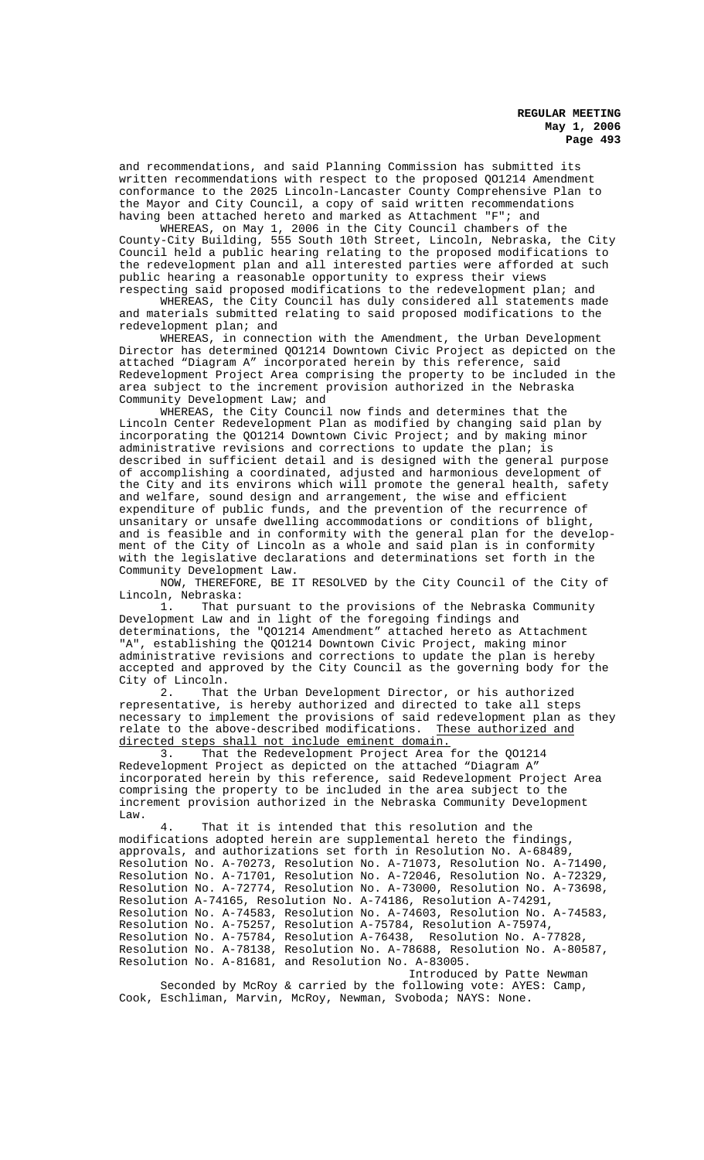and recommendations, and said Planning Commission has submitted its written recommendations with respect to the proposed QO1214 Amendment conformance to the 2025 Lincoln-Lancaster County Comprehensive Plan to the Mayor and City Council, a copy of said written recommendations having been attached hereto and marked as Attachment "F"; and

WHEREAS, on May 1, 2006 in the City Council chambers of the County-City Building, 555 South 10th Street, Lincoln, Nebraska, the City Council held a public hearing relating to the proposed modifications to the redevelopment plan and all interested parties were afforded at such public hearing a reasonable opportunity to express their views respecting said proposed modifications to the redevelopment plan; and

WHEREAS, the City Council has duly considered all statements made and materials submitted relating to said proposed modifications to the redevelopment plan; and

WHEREAS, in connection with the Amendment, the Urban Development Director has determined QO1214 Downtown Civic Project as depicted on the attached "Diagram A" incorporated herein by this reference, said Redevelopment Project Area comprising the property to be included in the area subject to the increment provision authorized in the Nebraska Community Development Law; and

WHEREAS, the City Council now finds and determines that the Lincoln Center Redevelopment Plan as modified by changing said plan by incorporating the QO1214 Downtown Civic Project; and by making minor administrative revisions and corrections to update the plan; is described in sufficient detail and is designed with the general purpose of accomplishing a coordinated, adjusted and harmonious development of the City and its environs which will promote the general health, safety and welfare, sound design and arrangement, the wise and efficient expenditure of public funds, and the prevention of the recurrence of unsanitary or unsafe dwelling accommodations or conditions of blight, and is feasible and in conformity with the general plan for the development of the City of Lincoln as a whole and said plan is in conformity with the legislative declarations and determinations set forth in the Community Development Law.

NOW, THEREFORE, BE IT RESOLVED by the City Council of the City of Lincoln, Nebraska:

1. That pursuant to the provisions of the Nebraska Community Development Law and in light of the foregoing findings and determinations, the "QO1214 Amendment" attached hereto as Attachment "A", establishing the QO1214 Downtown Civic Project, making minor administrative revisions and corrections to update the plan is hereby accepted and approved by the City Council as the governing body for the City of Lincoln.

2. That the Urban Development Director, or his authorized representative, is hereby authorized and directed to take all steps necessary to implement the provisions of said redevelopment plan as they relate to the above-described modifications. These authorized and directed steps shall not include eminent domain.

3. That the Redevelopment Project Area for the QO1214 Redevelopment Project as depicted on the attached "Diagram A" incorporated herein by this reference, said Redevelopment Project Area comprising the property to be included in the area subject to the increment provision authorized in the Nebraska Community Development Law.

4. That it is intended that this resolution and the modifications adopted herein are supplemental hereto the findings, approvals, and authorizations set forth in Resolution No. A-68489, Resolution No. A-70273, Resolution No. A-71073, Resolution No. A-71490, Resolution No. A-71701, Resolution No. A-72046, Resolution No. A-72329, Resolution No. A-72774, Resolution No. A-73000, Resolution No. A-73698, Resolution A-74165, Resolution No. A-74186, Resolution A-74291, Resolution No. A-74583, Resolution No. A-74603, Resolution No. A-74583, Resolution No. A-75257, Resolution A-75784, Resolution A-75974,<br>Resolution No. A-75784, Resolution A-76438, Resolution No. A-77828, Resolution No. A-75784, Resolution A-76438, Resolution No. A-78138, Resolution No. A-78688, Resolution No. A-80587, Resolution No. A-81681, and Resolution No. A-83005.

Introduced by Patte Newman Seconded by McRoy & carried by the following vote: AYES: Camp, Cook, Eschliman, Marvin, McRoy, Newman, Svoboda; NAYS: None.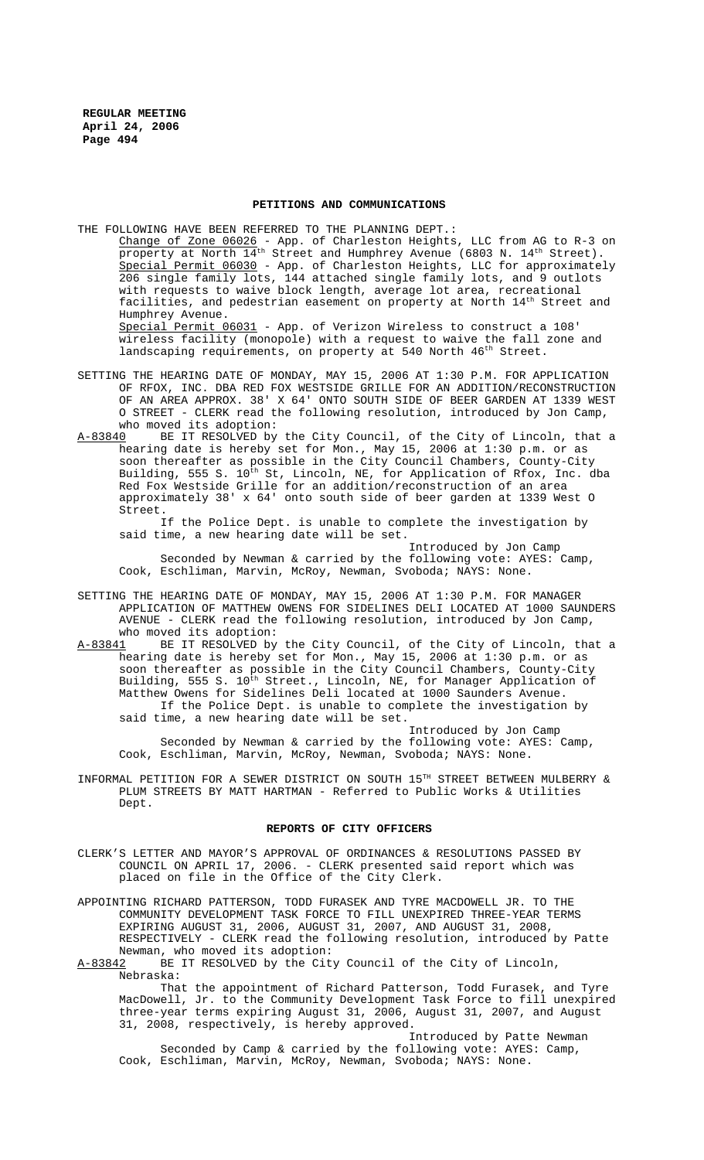### **PETITIONS AND COMMUNICATIONS**

THE FOLLOWING HAVE BEEN REFERRED TO THE PLANNING DEPT.: Change of Zone 06026 - App. of Charleston Heights, LLC from AG to R-3 on property at North  $14^{\text{th}}$  Street and Humphrey Avenue (6803 N.  $14^{\text{th}}$  Street). Special Permit 06030 - App. of Charleston Heights, LLC for approximately<br>206 single family lots, 144 attached single family lots, and 9 outlots single family lots, 144 attached single family lots, and 9 outlots with requests to waive block length, average lot area, recreational facilities, and pedestrian easement on property at North  $14^{\text{th}}$  Street and Humphrey Avenue. Special Permit 06031 - App. of Verizon Wireless to construct a 108' wireless facility (monopole) with a request to waive the fall zone and landscaping requirements, on property at 540 North 46<sup>th</sup> Street.

- SETTING THE HEARING DATE OF MONDAY, MAY 15, 2006 AT 1:30 P.M. FOR APPLICATION OF RFOX, INC. DBA RED FOX WESTSIDE GRILLE FOR AN ADDITION/RECONSTRUCTION OF AN AREA APPROX. 38' X 64' ONTO SOUTH SIDE OF BEER GARDEN AT 1339 WEST O STREET - CLERK read the following resolution, introduced by Jon Camp, who moved its adoption:
- A-83840 BE IT RESOLVED by the City Council, of the City of Lincoln, that a hearing date is hereby set for Mon., May 15, 2006 at 1:30 p.m. or as soon thereafter as possible in the City Council Chambers, County-City Building, 555 S. 10<sup>th</sup> St, Lincoln, NE, for Application of Rfox, Inc. dba Red Fox Westside Grille for an addition/reconstruction of an area approximately 38' x 64' onto south side of beer garden at 1339 West O Street.

If the Police Dept. is unable to complete the investigation by said time, a new hearing date will be set.

Introduced by Jon Camp Seconded by Newman & carried by the following vote: AYES: Camp, Cook, Eschliman, Marvin, McRoy, Newman, Svoboda; NAYS: None.

- SETTING THE HEARING DATE OF MONDAY, MAY 15, 2006 AT 1:30 P.M. FOR MANAGER APPLICATION OF MATTHEW OWENS FOR SIDELINES DELI LOCATED AT 1000 SAUNDERS AVENUE - CLERK read the following resolution, introduced by Jon Camp, who moved its adoption:
- A-83841 BE IT RESOLVED by the City Council, of the City of Lincoln, that a hearing date is hereby set for Mon., May 15, 2006 at 1:30 p.m. or as soon thereafter as possible in the City Council Chambers, County-City Building, 555 S. 10<sup>th</sup> Street., Lincoln, NE, for Manager Application of Matthew Owens for Sidelines Deli located at 1000 Saunders Avenue. If the Police Dept. is unable to complete the investigation by said time, a new hearing date will be set.

Introduced by Jon Camp Seconded by Newman & carried by the following vote: AYES: Camp, Cook, Eschliman, Marvin, McRoy, Newman, Svoboda; NAYS: None.

INFORMAL PETITION FOR A SEWER DISTRICT ON SOUTH 15TH STREET BETWEEN MULBERRY & PLUM STREETS BY MATT HARTMAN - Referred to Public Works & Utilities Dept.

#### **REPORTS OF CITY OFFICERS**

- CLERK'S LETTER AND MAYOR'S APPROVAL OF ORDINANCES & RESOLUTIONS PASSED BY COUNCIL ON APRIL 17, 2006. - CLERK presented said report which was placed on file in the Office of the City Clerk.
- APPOINTING RICHARD PATTERSON, TODD FURASEK AND TYRE MACDOWELL JR. TO THE COMMUNITY DEVELOPMENT TASK FORCE TO FILL UNEXPIRED THREE-YEAR TERMS EXPIRING AUGUST 31, 2006, AUGUST 31, 2007, AND AUGUST 31, 2008, RESPECTIVELY - CLERK read the following resolution, introduced by Patte Newman, who moved its adoption:

A-83842 BE IT RESOLVED by the City Council of the City of Lincoln, Nebraska:

That the appointment of Richard Patterson, Todd Furasek, and Tyre MacDowell, Jr. to the Community Development Task Force to fill unexpired three-year terms expiring August 31, 2006, August 31, 2007, and August 31, 2008, respectively, is hereby approved.

Introduced by Patte Newman Seconded by Camp & carried by the following vote: AYES: Camp, Cook, Eschliman, Marvin, McRoy, Newman, Svoboda; NAYS: None.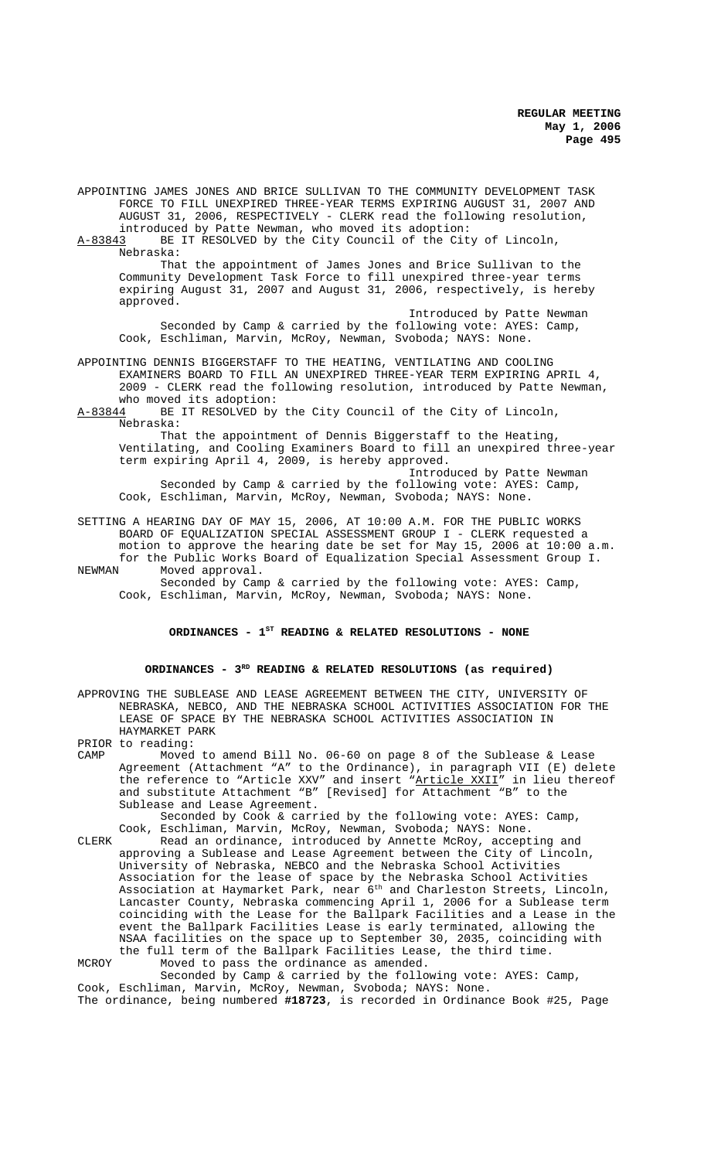APPOINTING JAMES JONES AND BRICE SULLIVAN TO THE COMMUNITY DEVELOPMENT TASK FORCE TO FILL UNEXPIRED THREE-YEAR TERMS EXPIRING AUGUST 31, 2007 AND AUGUST 31, 2006, RESPECTIVELY - CLERK read the following resolution, introduced by Patte Newman, who moved its adoption:<br>A-83843 BE IT RESOLVED by the City Council of the Cit BE IT RESOLVED by the City Council of the City of Lincoln, Nebraska: That the appointment of James Jones and Brice Sullivan to the Community Development Task Force to fill unexpired three-year terms expiring August 31, 2007 and August 31, 2006, respectively, is hereby approved. Introduced by Patte Newman Seconded by Camp & carried by the following vote: AYES: Camp, Cook, Eschliman, Marvin, McRoy, Newman, Svoboda; NAYS: None. APPOINTING DENNIS BIGGERSTAFF TO THE HEATING, VENTILATING AND COOLING EXAMINERS BOARD TO FILL AN UNEXPIRED THREE-YEAR TERM EXPIRING APRIL 4, 2009 - CLERK read the following resolution, introduced by Patte Newman,

who moved its adoption: A-83844 BE IT RESOLVED by the City Council of the City of Lincoln, Nebraska:

That the appointment of Dennis Biggerstaff to the Heating, Ventilating, and Cooling Examiners Board to fill an unexpired three-year term expiring April 4, 2009, is hereby approved.

Introduced by Patte Newman Seconded by Camp & carried by the following vote: AYES: Camp, Cook, Eschliman, Marvin, McRoy, Newman, Svoboda; NAYS: None.

SETTING A HEARING DAY OF MAY 15, 2006, AT 10:00 A.M. FOR THE PUBLIC WORKS BOARD OF EQUALIZATION SPECIAL ASSESSMENT GROUP I - CLERK requested a motion to approve the hearing date be set for May 15, 2006 at 10:00 a.m. for the Public Works Board of Equalization Special Assessment Group I.

NEWMAN Moved approval. Seconded by Camp & carried by the following vote: AYES: Camp, Cook, Eschliman, Marvin, McRoy, Newman, Svoboda; NAYS: None.

# **ORDINANCES - 1ST READING & RELATED RESOLUTIONS - NONE**

### **ORDINANCES - 3RD READING & RELATED RESOLUTIONS (as required)**

APPROVING THE SUBLEASE AND LEASE AGREEMENT BETWEEN THE CITY, UNIVERSITY OF NEBRASKA, NEBCO, AND THE NEBRASKA SCHOOL ACTIVITIES ASSOCIATION FOR THE LEASE OF SPACE BY THE NEBRASKA SCHOOL ACTIVITIES ASSOCIATION IN HAYMARKET PARK

PRIOR to reading: CAMP Moved to amend Bill No. 06-60 on page 8 of the Sublease & Lease Agreement (Attachment "A" to the Ordinance), in paragraph VII (E) delete the reference to "Article XXV" and insert "Article XXII" in lieu thereof and substitute Attachment "B" [Revised] for Attachment "B" to the Sublease and Lease Agreement.

Seconded by Cook & carried by the following vote: AYES: Camp, Cook, Eschliman, Marvin, McRoy, Newman, Svoboda; NAYS: None.

CLERK Read an ordinance, introduced by Annette McRoy, accepting and approving a Sublease and Lease Agreement between the City of Lincoln, University of Nebraska, NEBCO and the Nebraska School Activities Association for the lease of space by the Nebraska School Activities Association at Haymarket Park, near 6th and Charleston Streets, Lincoln, Lancaster County, Nebraska commencing April 1, 2006 for a Sublease term coinciding with the Lease for the Ballpark Facilities and a Lease in the event the Ballpark Facilities Lease is early terminated, allowing the NSAA facilities on the space up to September 30, 2035, coinciding with the full term of the Ballpark Facilities Lease, the third time.

MCROY Moved to pass the ordinance as amended. Seconded by Camp & carried by the following vote: AYES: Camp,

Cook, Eschliman, Marvin, McRoy, Newman, Svoboda; NAYS: None. The ordinance, being numbered **#18723**, is recorded in Ordinance Book #25, Page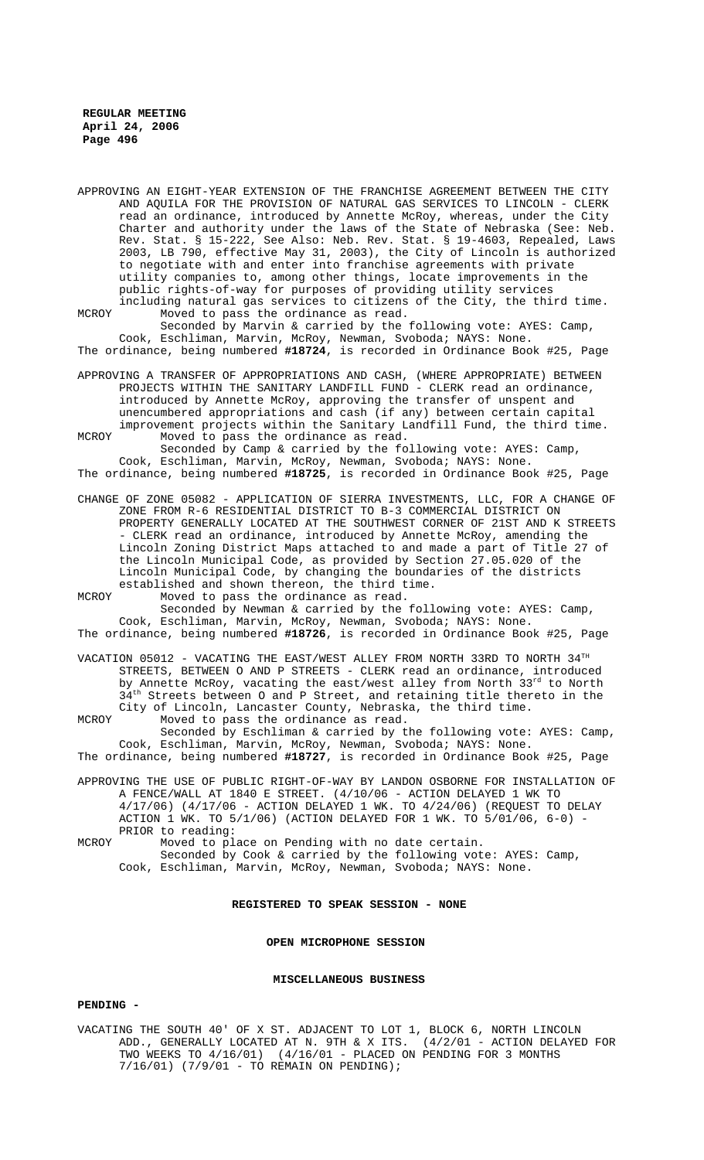APPROVING AN EIGHT-YEAR EXTENSION OF THE FRANCHISE AGREEMENT BETWEEN THE CITY AND AQUILA FOR THE PROVISION OF NATURAL GAS SERVICES TO LINCOLN - CLERK read an ordinance, introduced by Annette McRoy, whereas, under the City Charter and authority under the laws of the State of Nebraska (See: Neb. Rev. Stat. § 15-222, See Also: Neb. Rev. Stat. § 19-4603, Repealed, Laws 2003, LB 790, effective May 31, 2003), the City of Lincoln is authorized to negotiate with and enter into franchise agreements with private utility companies to, among other things, locate improvements in the public rights-of-way for purposes of providing utility services including natural gas services to citizens of the City, the third time.

MCROY Moved to pass the ordinance as read. Seconded by Marvin & carried by the following vote: AYES: Camp,

Cook, Eschliman, Marvin, McRoy, Newman, Svoboda; NAYS: None. The ordinance, being numbered **#18724**, is recorded in Ordinance Book #25, Page

APPROVING A TRANSFER OF APPROPRIATIONS AND CASH, (WHERE APPROPRIATE) BETWEEN PROJECTS WITHIN THE SANITARY LANDFILL FUND - CLERK read an ordinance, introduced by Annette McRoy, approving the transfer of unspent and unencumbered appropriations and cash (if any) between certain capital improvement projects within the Sanitary Landfill Fund, the third time.

MCROY Moved to pass the ordinance as read. Seconded by Camp & carried by the following vote: AYES: Camp, Cook, Eschliman, Marvin, McRoy, Newman, Svoboda; NAYS: None.

The ordinance, being numbered **#18725**, is recorded in Ordinance Book #25, Page

CHANGE OF ZONE 05082 - APPLICATION OF SIERRA INVESTMENTS, LLC, FOR A CHANGE OF ZONE FROM R-6 RESIDENTIAL DISTRICT TO B-3 COMMERCIAL DISTRICT ON PROPERTY GENERALLY LOCATED AT THE SOUTHWEST CORNER OF 21ST AND K STREETS - CLERK read an ordinance, introduced by Annette McRoy, amending the Lincoln Zoning District Maps attached to and made a part of Title 27 of the Lincoln Municipal Code, as provided by Section 27.05.020 of the Lincoln Municipal Code, by changing the boundaries of the districts established and shown thereon, the third time.

MCROY Moved to pass the ordinance as read. Seconded by Newman & carried by the following vote: AYES: Camp, Cook, Eschliman, Marvin, McRoy, Newman, Svoboda; NAYS: None. The ordinance, being numbered **#18726**, is recorded in Ordinance Book #25, Page

VACATION 05012 - VACATING THE EAST/WEST ALLEY FROM NORTH 33RD TO NORTH  $34^{\text{TH}}$ STREETS, BETWEEN O AND P STREETS - CLERK read an ordinance, introduced by Annette McRoy, vacating the east/west alley from North 33rd to North 34<sup>th</sup> Streets between O and P Street, and retaining title thereto in the City of Lincoln, Lancaster County, Nebraska, the third time.

MCROY Moved to pass the ordinance as read.

Seconded by Eschliman & carried by the following vote: AYES: Camp, Cook, Eschliman, Marvin, McRoy, Newman, Svoboda; NAYS: None. The ordinance, being numbered **#18727**, is recorded in Ordinance Book #25, Page

APPROVING THE USE OF PUBLIC RIGHT-OF-WAY BY LANDON OSBORNE FOR INSTALLATION OF A FENCE/WALL AT 1840 E STREET. (4/10/06 - ACTION DELAYED 1 WK TO 4/17/06) (4/17/06 - ACTION DELAYED 1 WK. TO 4/24/06) (REQUEST TO DELAY ACTION 1 WK. TO 5/1/06) (ACTION DELAYED FOR 1 WK. TO 5/01/06, 6-0) - PRIOR to reading:

MCROY Moved to place on Pending with no date certain. Seconded by Cook & carried by the following vote: AYES: Camp, Cook, Eschliman, Marvin, McRoy, Newman, Svoboda; NAYS: None.

**REGISTERED TO SPEAK SESSION - NONE**

**OPEN MICROPHONE SESSION** 

#### **MISCELLANEOUS BUSINESS**

#### **PENDING -**

VACATING THE SOUTH 40' OF X ST. ADJACENT TO LOT 1, BLOCK 6, NORTH LINCOLN ADD., GENERALLY LOCATED AT N. 9TH & X ITS. (4/2/01 - ACTION DELAYED FOR TWO WEEKS TO 4/16/01) (4/16/01 - PLACED ON PENDING FOR 3 MONTHS 7/16/01) (7/9/01 - TO REMAIN ON PENDING);